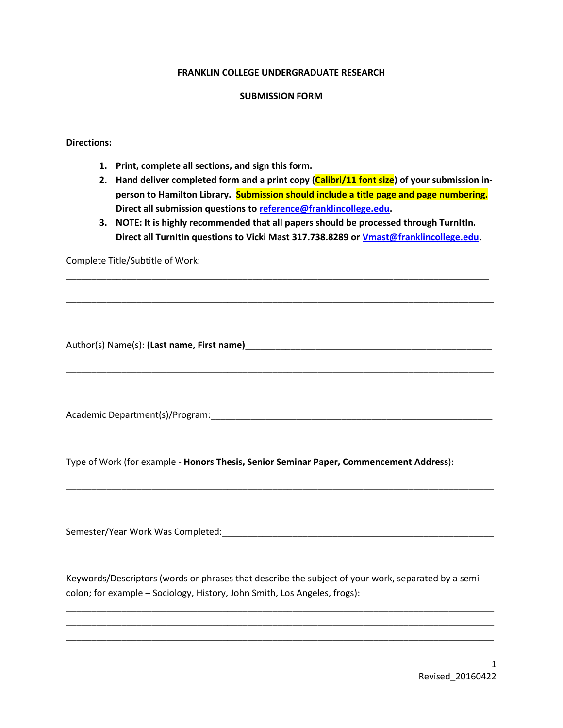### **FRANKLIN COLLEGE UNDERGRADUATE RESEARCH**

#### **SUBMISSION FORM**

### **Directions:**

- **1. Print, complete all sections, and sign this form.**
- **2. Hand deliver completed form and a print copy (Calibri/11 font size) of your submission inperson to Hamilton Library. Submission should include a title page and page numbering. Direct all submission questions to [reference@franklincollege.edu.](reference@franklincollege.edu)**
- **3. NOTE: It is highly recommended that all papers should be processed through TurnItIn. Direct all TurnItIn questions to Vicki Mast 317.738.8289 or [Vmast@franklincollege.edu.](mailto:Vmast@franklincollege.edu)**

\_\_\_\_\_\_\_\_\_\_\_\_\_\_\_\_\_\_\_\_\_\_\_\_\_\_\_\_\_\_\_\_\_\_\_\_\_\_\_\_\_\_\_\_\_\_\_\_\_\_\_\_\_\_\_\_\_\_\_\_\_\_\_\_\_\_\_\_\_\_\_\_\_\_\_\_\_\_\_\_\_\_\_\_

\_\_\_\_\_\_\_\_\_\_\_\_\_\_\_\_\_\_\_\_\_\_\_\_\_\_\_\_\_\_\_\_\_\_\_\_\_\_\_\_\_\_\_\_\_\_\_\_\_\_\_\_\_\_\_\_\_\_\_\_\_\_\_\_\_\_\_\_\_\_\_\_\_\_\_\_\_\_\_\_\_\_\_\_\_

\_\_\_\_\_\_\_\_\_\_\_\_\_\_\_\_\_\_\_\_\_\_\_\_\_\_\_\_\_\_\_\_\_\_\_\_\_\_\_\_\_\_\_\_\_\_\_\_\_\_\_\_\_\_\_\_\_\_\_\_\_\_\_\_\_\_\_\_\_\_\_\_\_\_\_\_\_\_\_\_\_\_\_\_\_

\_\_\_\_\_\_\_\_\_\_\_\_\_\_\_\_\_\_\_\_\_\_\_\_\_\_\_\_\_\_\_\_\_\_\_\_\_\_\_\_\_\_\_\_\_\_\_\_\_\_\_\_\_\_\_\_\_\_\_\_\_\_\_\_\_\_\_\_\_\_\_\_\_\_\_\_\_\_\_\_\_\_\_\_\_

Complete Title/Subtitle of Work:

Author(s) Name(s): **(Last name, First name)**\_\_\_\_\_\_\_\_\_\_\_\_\_\_\_\_\_\_\_\_\_\_\_\_\_\_\_\_\_\_\_\_\_\_\_\_\_\_\_\_\_\_\_\_\_\_\_\_\_

Academic Department(s)/Program:\_\_\_\_\_\_\_\_\_\_\_\_\_\_\_\_\_\_\_\_\_\_\_\_\_\_\_\_\_\_\_\_\_\_\_\_\_\_\_\_\_\_\_\_\_\_\_\_\_\_\_\_\_\_\_\_

Type of Work (for example - **Honors Thesis, Senior Seminar Paper, Commencement Address**):

Semester/Year Work Was Completed:  $\blacksquare$ 

Keywords/Descriptors (words or phrases that describe the subject of your work, separated by a semicolon; for example – Sociology, History, John Smith, Los Angeles, frogs):

\_\_\_\_\_\_\_\_\_\_\_\_\_\_\_\_\_\_\_\_\_\_\_\_\_\_\_\_\_\_\_\_\_\_\_\_\_\_\_\_\_\_\_\_\_\_\_\_\_\_\_\_\_\_\_\_\_\_\_\_\_\_\_\_\_\_\_\_\_\_\_\_\_\_\_\_\_\_\_\_\_\_\_\_\_ \_\_\_\_\_\_\_\_\_\_\_\_\_\_\_\_\_\_\_\_\_\_\_\_\_\_\_\_\_\_\_\_\_\_\_\_\_\_\_\_\_\_\_\_\_\_\_\_\_\_\_\_\_\_\_\_\_\_\_\_\_\_\_\_\_\_\_\_\_\_\_\_\_\_\_\_\_\_\_\_\_\_\_\_\_ \_\_\_\_\_\_\_\_\_\_\_\_\_\_\_\_\_\_\_\_\_\_\_\_\_\_\_\_\_\_\_\_\_\_\_\_\_\_\_\_\_\_\_\_\_\_\_\_\_\_\_\_\_\_\_\_\_\_\_\_\_\_\_\_\_\_\_\_\_\_\_\_\_\_\_\_\_\_\_\_\_\_\_\_\_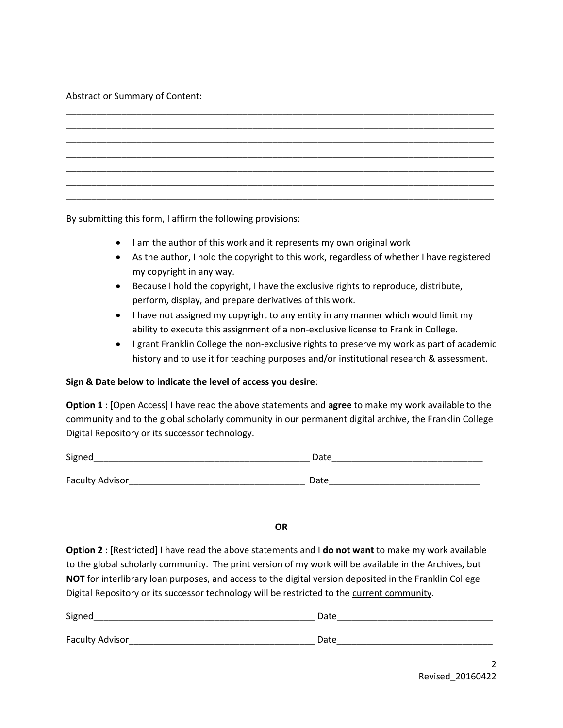## Abstract or Summary of Content:

By submitting this form, I affirm the following provisions:

- I am the author of this work and it represents my own original work
- As the author, I hold the copyright to this work, regardless of whether I have registered my copyright in any way.
- Because I hold the copyright, I have the exclusive rights to reproduce, distribute, perform, display, and prepare derivatives of this work.
- I have not assigned my copyright to any entity in any manner which would limit my ability to execute this assignment of a non-exclusive license to Franklin College.
- I grant Franklin College the non-exclusive rights to preserve my work as part of academic history and to use it for teaching purposes and/or institutional research & assessment.

# **Sign & Date below to indicate the level of access you desire**:

**Option 1** : [Open Access] I have read the above statements and **agree** to make my work available to the community and to the global scholarly community in our permanent digital archive, the Franklin College Digital Repository or its successor technology.

| Signed                 | Date |
|------------------------|------|
|                        |      |
| <b>Faculty Advisor</b> | Date |

### **OR**

**Option 2** : [Restricted] I have read the above statements and I **do not want** to make my work available to the global scholarly community. The print version of my work will be available in the Archives, but **NOT** for interlibrary loan purposes, and access to the digital version deposited in the Franklin College Digital Repository or its successor technology will be restricted to the current community.

| Signed          | Date |
|-----------------|------|
| Faculty Advisor | Date |